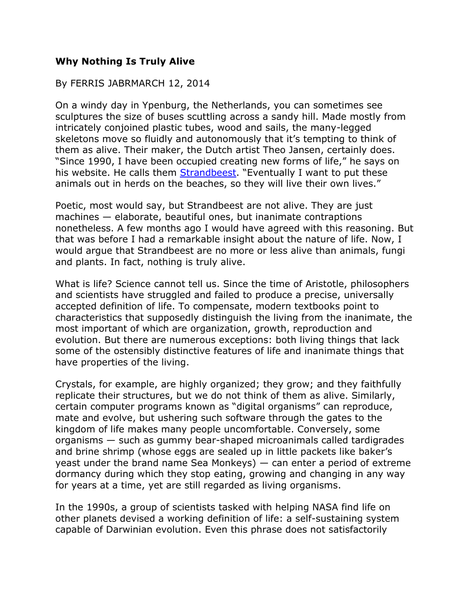## **Why Nothing Is Truly Alive**

## By FERRIS JABRMARCH 12, 2014

On a windy day in Ypenburg, the Netherlands, you can sometimes see sculptures the size of buses scuttling across a sandy hill. Made mostly from intricately conjoined plastic tubes, wood and sails, the many-legged skeletons move so fluidly and autonomously that it's tempting to think of them as alive. Their maker, the Dutch artist Theo Jansen, certainly does. "Since 1990, I have been occupied creating new forms of life," he says on his website. He calls them **Strandbeest**. "Eventually I want to put these animals out in herds on the beaches, so they will live their own lives."

Poetic, most would say, but Strandbeest are not alive. They are just machines — elaborate, beautiful ones, but inanimate contraptions nonetheless. A few months ago I would have agreed with this reasoning. But that was before I had a remarkable insight about the nature of life. Now, I would argue that Strandbeest are no more or less alive than animals, fungi and plants. In fact, nothing is truly alive.

What is life? Science cannot tell us. Since the time of Aristotle, philosophers and scientists have struggled and failed to produce a precise, universally accepted definition of life. To compensate, modern textbooks point to characteristics that supposedly distinguish the living from the inanimate, the most important of which are organization, growth, reproduction and evolution. But there are numerous exceptions: both living things that lack some of the ostensibly distinctive features of life and inanimate things that have properties of the living.

Crystals, for example, are highly organized; they grow; and they faithfully replicate their structures, but we do not think of them as alive. Similarly, certain computer programs known as "digital organisms" can reproduce, mate and evolve, but ushering such software through the gates to the kingdom of life makes many people uncomfortable. Conversely, some organisms — such as gummy bear-shaped microanimals called tardigrades and brine shrimp (whose eggs are sealed up in little packets like baker's yeast under the brand name Sea Monkeys) — can enter a period of extreme dormancy during which they stop eating, growing and changing in any way for years at a time, yet are still regarded as living organisms.

In the 1990s, a group of scientists tasked with helping NASA find life on other planets devised a working definition of life: a self-sustaining system capable of Darwinian evolution. Even this phrase does not satisfactorily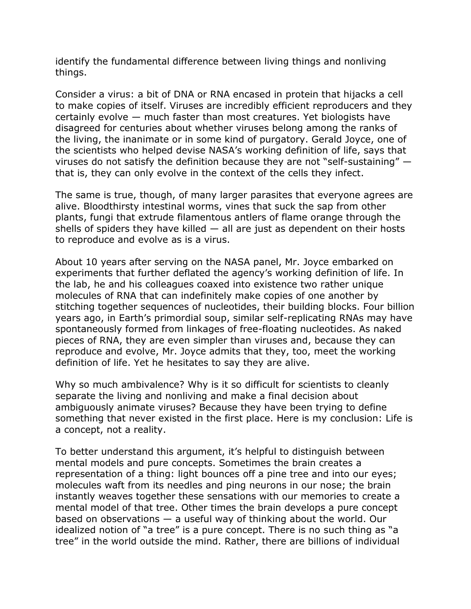identify the fundamental difference between living things and nonliving things.

Consider a virus: a bit of DNA or RNA encased in protein that hijacks a cell to make copies of itself. Viruses are incredibly efficient reproducers and they certainly evolve — much faster than most creatures. Yet biologists have disagreed for centuries about whether viruses belong among the ranks of the living, the inanimate or in some kind of purgatory. Gerald Joyce, one of the scientists who helped devise NASA's working definition of life, says that viruses do not satisfy the definition because they are not "self-sustaining" that is, they can only evolve in the context of the cells they infect.

The same is true, though, of many larger parasites that everyone agrees are alive. Bloodthirsty intestinal worms, vines that suck the sap from other plants, fungi that extrude filamentous antlers of flame orange through the shells of spiders they have killed  $-$  all are just as dependent on their hosts to reproduce and evolve as is a virus.

About 10 years after serving on the NASA panel, Mr. Joyce embarked on experiments that further deflated the agency's working definition of life. In the lab, he and his colleagues coaxed into existence two rather unique molecules of RNA that can indefinitely make copies of one another by stitching together sequences of nucleotides, their building blocks. Four billion years ago, in Earth's primordial soup, similar self-replicating RNAs may have spontaneously formed from linkages of free-floating nucleotides. As naked pieces of RNA, they are even simpler than viruses and, because they can reproduce and evolve, Mr. Joyce admits that they, too, meet the working definition of life. Yet he hesitates to say they are alive.

Why so much ambivalence? Why is it so difficult for scientists to cleanly separate the living and nonliving and make a final decision about ambiguously animate viruses? Because they have been trying to define something that never existed in the first place. Here is my conclusion: Life is a concept, not a reality.

To better understand this argument, it's helpful to distinguish between mental models and pure concepts. Sometimes the brain creates a representation of a thing: light bounces off a pine tree and into our eyes; molecules waft from its needles and ping neurons in our nose; the brain instantly weaves together these sensations with our memories to create a mental model of that tree. Other times the brain develops a pure concept based on observations  $-$  a useful way of thinking about the world. Our idealized notion of "a tree" is a pure concept. There is no such thing as "a tree" in the world outside the mind. Rather, there are billions of individual